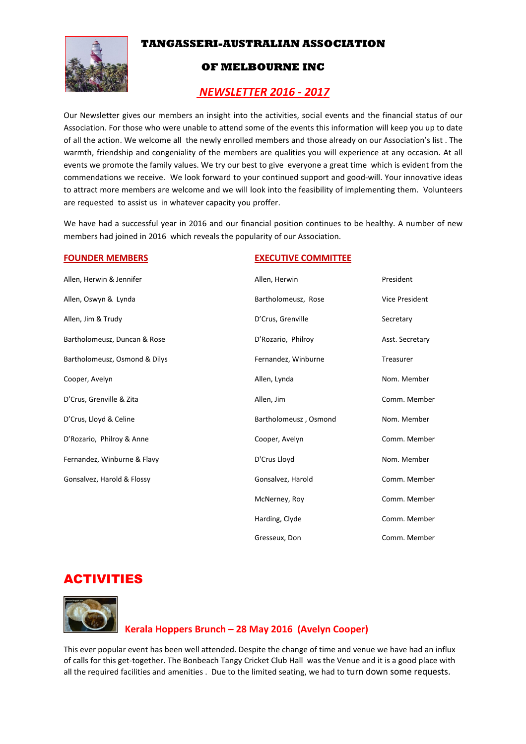## **TANGASSERI-AUSTRALIAN ASSOCIATION**



## **OF MELBOURNE INC**

## *NEWSLETTER 2016 - 2017*

Our Newsletter gives our members an insight into the activities, social events and the financial status of our Association. For those who were unable to attend some of the events this information will keep you up to date of all the action. We welcome all the newly enrolled members and those already on our Association's list . The warmth, friendship and congeniality of the members are qualities you will experience at any occasion. At all events we promote the family values. We try our best to give everyone a great time which is evident from the commendations we receive. We look forward to your continued support and good-will. Your innovative ideas to attract more members are welcome and we will look into the feasibility of implementing them. Volunteers are requested to assist us in whatever capacity you proffer.

We have had a successful year in 2016 and our financial position continues to be healthy. A number of new members had joined in 2016 which reveals the popularity of our Association.

#### **FOUNDER MEMBERS EXECUTIVE COMMITTEE**

| Allen, Herwin & Jennifer      | Allen, Herwin         | President       |
|-------------------------------|-----------------------|-----------------|
| Allen, Oswyn & Lynda          | Bartholomeusz, Rose   | Vice President  |
| Allen, Jim & Trudy            | D'Crus, Grenville     | Secretary       |
| Bartholomeusz, Duncan & Rose  | D'Rozario, Philroy    | Asst. Secretary |
| Bartholomeusz, Osmond & Dilys | Fernandez, Winburne   | Treasurer       |
| Cooper, Avelyn                | Allen, Lynda          | Nom. Member     |
| D'Crus, Grenville & Zita      | Allen, Jim            | Comm. Member    |
| D'Crus, Lloyd & Celine        | Bartholomeusz, Osmond | Nom. Member     |
| D'Rozario, Philroy & Anne     | Cooper, Avelyn        | Comm. Member    |
| Fernandez, Winburne & Flavy   | D'Crus Lloyd          | Nom. Member     |
| Gonsalvez, Harold & Flossy    | Gonsalvez, Harold     | Comm. Member    |
|                               | McNerney, Roy         | Comm. Member    |
|                               | Harding, Clyde        | Comm. Member    |
|                               | Gresseux, Don         | Comm. Member    |

# ACTIVITIES



## **Kerala Hoppers Brunch – 28 May 2016 (Avelyn Cooper)**

This ever popular event has been well attended. Despite the change of time and venue we have had an influx of calls for this get-together. The Bonbeach Tangy Cricket Club Hall was the Venue and it is a good place with all the required facilities and amenities . Due to the limited seating, we had to turn down some requests.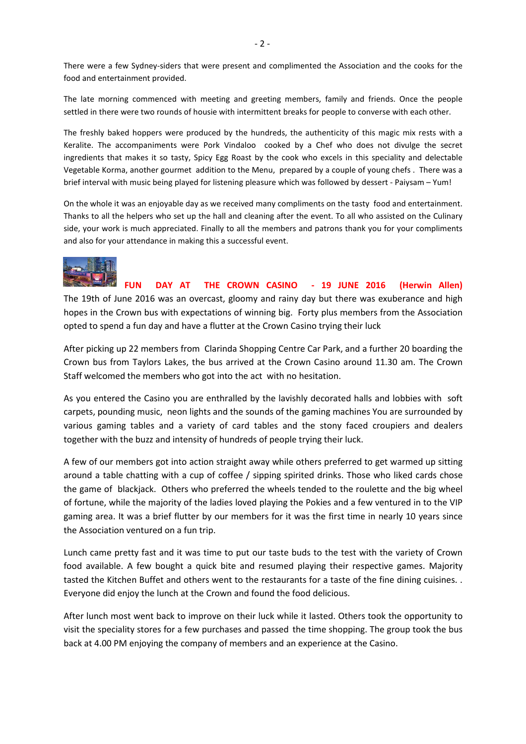There were a few Sydney-siders that were present and complimented the Association and the cooks for the food and entertainment provided.

The late morning commenced with meeting and greeting members, family and friends. Once the people settled in there were two rounds of housie with intermittent breaks for people to converse with each other.

The freshly baked hoppers were produced by the hundreds, the authenticity of this magic mix rests with a Keralite. The accompaniments were Pork Vindaloo cooked by a Chef who does not divulge the secret ingredients that makes it so tasty, Spicy Egg Roast by the cook who excels in this speciality and delectable Vegetable Korma, another gourmet addition to the Menu, prepared by a couple of young chefs . There was a brief interval with music being played for listening pleasure which was followed by dessert - Paiysam – Yum!

On the whole it was an enjoyable day as we received many compliments on the tasty food and entertainment. Thanks to all the helpers who set up the hall and cleaning after the event. To all who assisted on the Culinary side, your work is much appreciated. Finally to all the members and patrons thank you for your compliments and also for your attendance in making this a successful event.



#### **FUN DAY AT THE CROWN CASINO - 19 JUNE 2016 (Herwin Allen)**

The 19th of June 2016 was an overcast, gloomy and rainy day but there was exuberance and high hopes in the Crown bus with expectations of winning big. Forty plus members from the Association opted to spend a fun day and have a flutter at the Crown Casino trying their luck

After picking up 22 members from Clarinda Shopping Centre Car Park, and a further 20 boarding the Crown bus from Taylors Lakes, the bus arrived at the Crown Casino around 11.30 am. The Crown Staff welcomed the members who got into the act with no hesitation.

As you entered the Casino you are enthralled by the lavishly decorated halls and lobbies with soft carpets, pounding music, neon lights and the sounds of the gaming machines You are surrounded by various gaming tables and a variety of card tables and the stony faced croupiers and dealers together with the buzz and intensity of hundreds of people trying their luck.

A few of our members got into action straight away while others preferred to get warmed up sitting around a table chatting with a cup of coffee / sipping spirited drinks. Those who liked cards chose the game of blackjack. Others who preferred the wheels tended to the roulette and the big wheel of fortune, while the majority of the ladies loved playing the Pokies and a few ventured in to the VIP gaming area. It was a brief flutter by our members for it was the first time in nearly 10 years since the Association ventured on a fun trip.

Lunch came pretty fast and it was time to put our taste buds to the test with the variety of Crown food available. A few bought a quick bite and resumed playing their respective games. Majority tasted the Kitchen Buffet and others went to the restaurants for a taste of the fine dining cuisines. . Everyone did enjoy the lunch at the Crown and found the food delicious.

After lunch most went back to improve on their luck while it lasted. Others took the opportunity to visit the speciality stores for a few purchases and passed the time shopping. The group took the bus back at 4.00 PM enjoying the company of members and an experience at the Casino.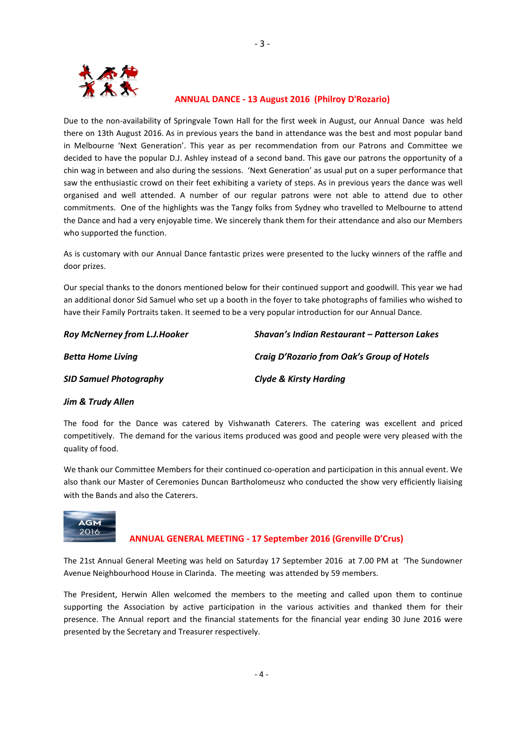

 $-3-$ 

### **ANNUAL DANCE - 13 August 2016 (Philroy D'Rozario)**

Due to the non-availability of Springvale Town Hall for the first week in August, our Annual Dance was held there on 13th August 2016. As in previous years the band in attendance was the best and most popular band in Melbourne 'Next Generation'. This year as per recommendation from our Patrons and Committee we decided to have the popular D.J. Ashley instead of a second band. This gave our patrons the opportunity of a chin wag in between and also during the sessions. 'Next Generation' as usual put on a super performance that saw the enthusiastic crowd on their feet exhibiting a variety of steps. As in previous years the dance was well organised and well attended. A number of our regular patrons were not able to attend due to other commitments. One of the highlights was the Tangy folks from Sydney who travelled to Melbourne to attend the Dance and had a very enjoyable time. We sincerely thank them for their attendance and also our Members who supported the function.

As is customary with our Annual Dance fantastic prizes were presented to the lucky winners of the raffle and door prizes.

Our special thanks to the donors mentioned below for their continued support and goodwill. This year we had an additional donor Sid Samuel who set up a booth in the foyer to take photographs of families who wished to have their Family Portraits taken. It seemed to be a very popular introduction for our Annual Dance.

| <b>Roy McNerney from L.J.Hooker</b> | Shavan's Indian Restaurant - Patterson Lakes |
|-------------------------------------|----------------------------------------------|
| <b>Betta Home Living</b>            | Craig D'Rozario from Oak's Group of Hotels   |
| <b>SID Samuel Photography</b>       | <b>Clyde &amp; Kirsty Harding</b>            |

#### *Jim & Trudy Allen*

The food for the Dance was catered by Vishwanath Caterers. The catering was excellent and priced competitively. The demand for the various items produced was good and people were very pleased with the quality of food.

We thank our Committee Members for their continued co-operation and participation in this annual event. We also thank our Master of Ceremonies Duncan Bartholomeusz who conducted the show very efficiently liaising with the Bands and also the Caterers.



### **ANNUAL GENERAL MEETING - 17 September 2016 (Grenville D'Crus)**

The 21st Annual General Meeting was held on Saturday 17 September 2016 at 7.00 PM at 'The Sundowner Avenue Neighbourhood House in Clarinda. The meeting was attended by 59 members.

The President, Herwin Allen welcomed the members to the meeting and called upon them to continue supporting the Association by active participation in the various activities and thanked them for their presence. The Annual report and the financial statements for the financial year ending 30 June 2016 were presented by the Secretary and Treasurer respectively.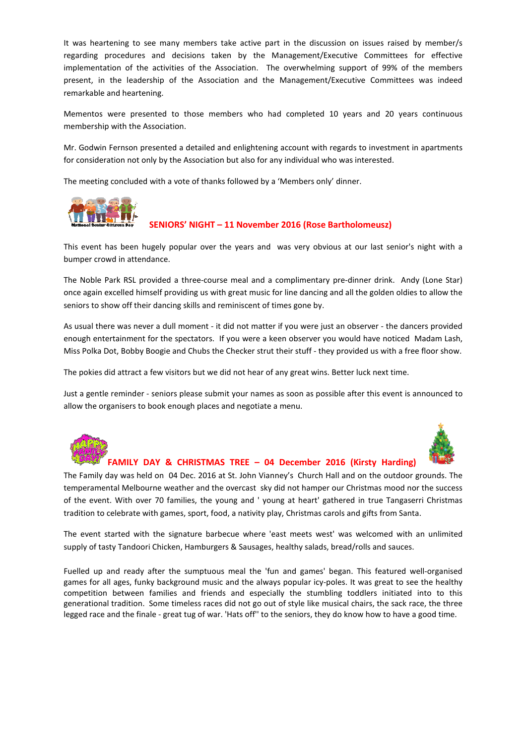It was heartening to see many members take active part in the discussion on issues raised by member/s regarding procedures and decisions taken by the Management/Executive Committees for effective implementation of the activities of the Association. The overwhelming support of 99% of the members present, in the leadership of the Association and the Management/Executive Committees was indeed remarkable and heartening.

Mementos were presented to those members who had completed 10 years and 20 years continuous membership with the Association.

Mr. Godwin Fernson presented a detailed and enlightening account with regards to investment in apartments for consideration not only by the Association but also for any individual who was interested.

The meeting concluded with a vote of thanks followed by a 'Members only' dinner.



#### **SENIORS' NIGHT – 11 November 2016 (Rose Bartholomeusz)**

This event has been hugely popular over the years and was very obvious at our last senior's night with a bumper crowd in attendance.

The Noble Park RSL provided a three-course meal and a complimentary pre-dinner drink. Andy (Lone Star) once again excelled himself providing us with great music for line dancing and all the golden oldies to allow the seniors to show off their dancing skills and reminiscent of times gone by.

As usual there was never a dull moment - it did not matter if you were just an observer - the dancers provided enough entertainment for the spectators. If you were a keen observer you would have noticed Madam Lash, Miss Polka Dot, Bobby Boogie and Chubs the Checker strut their stuff - they provided us with a free floor show.

The pokies did attract a few visitors but we did not hear of any great wins. Better luck next time.

Just a gentle reminder - seniors please submit your names as soon as possible after this event is announced to allow the organisers to book enough places and negotiate a menu.



#### **FAMILY DAY & CHRISTMAS TREE – 04 December 2016 (Kirsty Harding)**

The Family day was held on 04 Dec. 2016 at St. John Vianney's Church Hall and on the outdoor grounds. The temperamental Melbourne weather and the overcast sky did not hamper our Christmas mood nor the success of the event. With over 70 families, the young and ' young at heart' gathered in true Tangaserri Christmas tradition to celebrate with games, sport, food, a nativity play, Christmas carols and gifts from Santa.

The event started with the signature barbecue where 'east meets west' was welcomed with an unlimited supply of tasty Tandoori Chicken, Hamburgers & Sausages, healthy salads, bread/rolls and sauces.

Fuelled up and ready after the sumptuous meal the 'fun and games' began. This featured well-organised games for all ages, funky background music and the always popular icy-poles. It was great to see the healthy competition between families and friends and especially the stumbling toddlers initiated into to this generational tradition. Some timeless races did not go out of style like musical chairs, the sack race, the three legged race and the finale - great tug of war. 'Hats off'' to the seniors, they do know how to have a good time.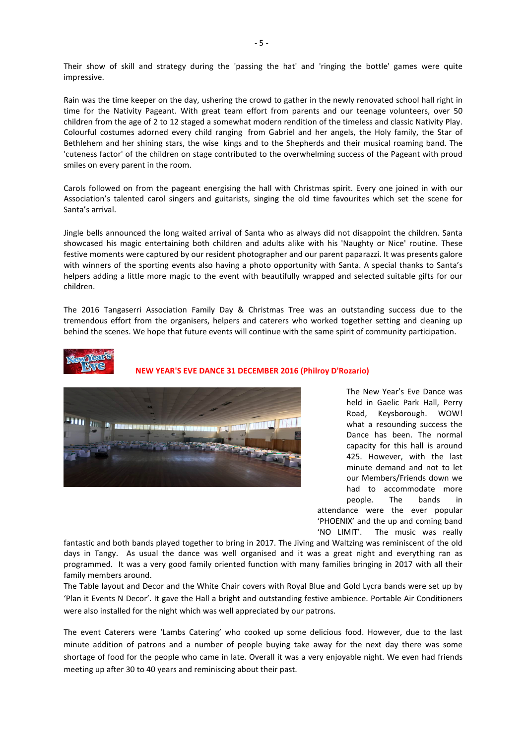Their show of skill and strategy during the 'passing the hat' and 'ringing the bottle' games were quite impressive.

Rain was the time keeper on the day, ushering the crowd to gather in the newly renovated school hall right in time for the Nativity Pageant. With great team effort from parents and our teenage volunteers, over 50 children from the age of 2 to 12 staged a somewhat modern rendition of the timeless and classic Nativity Play. Colourful costumes adorned every child ranging from Gabriel and her angels, the Holy family, the Star of Bethlehem and her shining stars, the wise kings and to the Shepherds and their musical roaming band. The 'cuteness factor' of the children on stage contributed to the overwhelming success of the Pageant with proud smiles on every parent in the room.

Carols followed on from the pageant energising the hall with Christmas spirit. Every one joined in with our Association's talented carol singers and guitarists, singing the old time favourites which set the scene for Santa's arrival.

Jingle bells announced the long waited arrival of Santa who as always did not disappoint the children. Santa showcased his magic entertaining both children and adults alike with his 'Naughty or Nice' routine. These festive moments were captured by our resident photographer and our parent paparazzi. It was presents galore with winners of the sporting events also having a photo opportunity with Santa. A special thanks to Santa's helpers adding a little more magic to the event with beautifully wrapped and selected suitable gifts for our children.

The 2016 Tangaserri Association Family Day & Christmas Tree was an outstanding success due to the tremendous effort from the organisers, helpers and caterers who worked together setting and cleaning up behind the scenes. We hope that future events will continue with the same spirit of community participation.



 **NEW YEAR'S EVE DANCE 31 DECEMBER 2016 (Philroy D'Rozario)** 



The New Year's Eve Dance was held in Gaelic Park Hall, Perry Road, Keysborough. WOW! what a resounding success the Dance has been. The normal capacity for this hall is around 425. However, with the last minute demand and not to let our Members/Friends down we had to accommodate more people. The bands in attendance were the ever popular 'PHOENIX' and the up and coming band 'NO LIMIT'. The music was really

fantastic and both bands played together to bring in 2017. The Jiving and Waltzing was reminiscent of the old days in Tangy. As usual the dance was well organised and it was a great night and everything ran as programmed. It was a very good family oriented function with many families bringing in 2017 with all their family members around.

The Table layout and Decor and the White Chair covers with Royal Blue and Gold Lycra bands were set up by 'Plan it Events N Decor'. It gave the Hall a bright and outstanding festive ambience. Portable Air Conditioners were also installed for the night which was well appreciated by our patrons.

The event Caterers were 'Lambs Catering' who cooked up some delicious food. However, due to the last minute addition of patrons and a number of people buying take away for the next day there was some shortage of food for the people who came in late. Overall it was a very enjoyable night. We even had friends meeting up after 30 to 40 years and reminiscing about their past.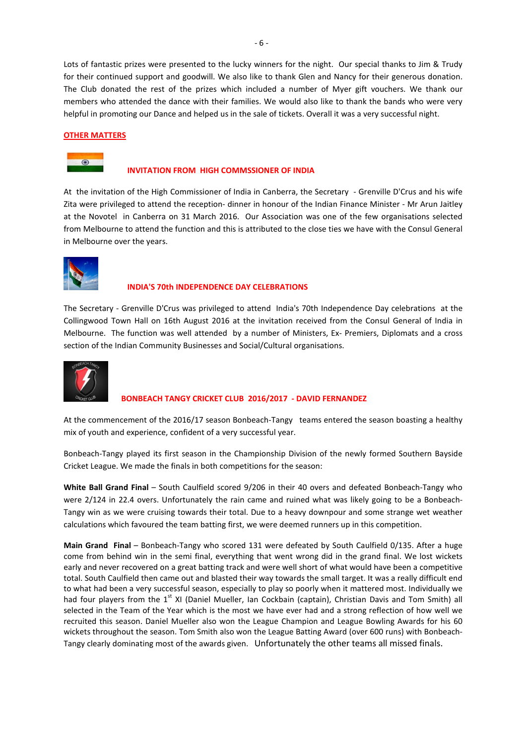Lots of fantastic prizes were presented to the lucky winners for the night. Our special thanks to Jim & Trudy for their continued support and goodwill. We also like to thank Glen and Nancy for their generous donation. The Club donated the rest of the prizes which included a number of Myer gift vouchers. We thank our members who attended the dance with their families. We would also like to thank the bands who were very helpful in promoting our Dance and helped us in the sale of tickets. Overall it was a very successful night.

#### **OTHER MATTERS**



#### **INVITATION FROM HIGH COMMSSIONER OF INDIA**

At the invitation of the High Commissioner of India in Canberra, the Secretary - Grenville D'Crus and his wife Zita were privileged to attend the reception- dinner in honour of the Indian Finance Minister - Mr Arun Jaitley at the Novotel in Canberra on 31 March 2016. Our Association was one of the few organisations selected from Melbourne to attend the function and this is attributed to the close ties we have with the Consul General in Melbourne over the years.



#### **INDIA'S 70th INDEPENDENCE DAY CELEBRATIONS**

The Secretary - Grenville D'Crus was privileged to attend India's 70th Independence Day celebrations at the Collingwood Town Hall on 16th August 2016 at the invitation received from the Consul General of India in Melbourne. The function was well attended by a number of Ministers, Ex- Premiers, Diplomats and a cross section of the Indian Community Businesses and Social/Cultural organisations.



#### **BONBEACH TANGY CRICKET CLUB 2016/2017 - DAVID FERNANDEZ**

At the commencement of the 2016/17 season Bonbeach-Tangy teams entered the season boasting a healthy mix of youth and experience, confident of a very successful year.

Bonbeach-Tangy played its first season in the Championship Division of the newly formed Southern Bayside Cricket League. We made the finals in both competitions for the season:

**White Ball Grand Final** – South Caulfield scored 9/206 in their 40 overs and defeated Bonbeach-Tangy who were 2/124 in 22.4 overs. Unfortunately the rain came and ruined what was likely going to be a Bonbeach-Tangy win as we were cruising towards their total. Due to a heavy downpour and some strange wet weather calculations which favoured the team batting first, we were deemed runners up in this competition.

**Main Grand Final** – Bonbeach-Tangy who scored 131 were defeated by South Caulfield 0/135. After a huge come from behind win in the semi final, everything that went wrong did in the grand final. We lost wickets early and never recovered on a great batting track and were well short of what would have been a competitive total. South Caulfield then came out and blasted their way towards the small target. It was a really difficult end to what had been a very successful season, especially to play so poorly when it mattered most. Individually we had four players from the 1<sup>st</sup> XI (Daniel Mueller, Ian Cockbain (captain), Christian Davis and Tom Smith) all selected in the Team of the Year which is the most we have ever had and a strong reflection of how well we recruited this season. Daniel Mueller also won the League Champion and League Bowling Awards for his 60 wickets throughout the season. Tom Smith also won the League Batting Award (over 600 runs) with Bonbeach-Tangy clearly dominating most of the awards given. Unfortunately the other teams all missed finals.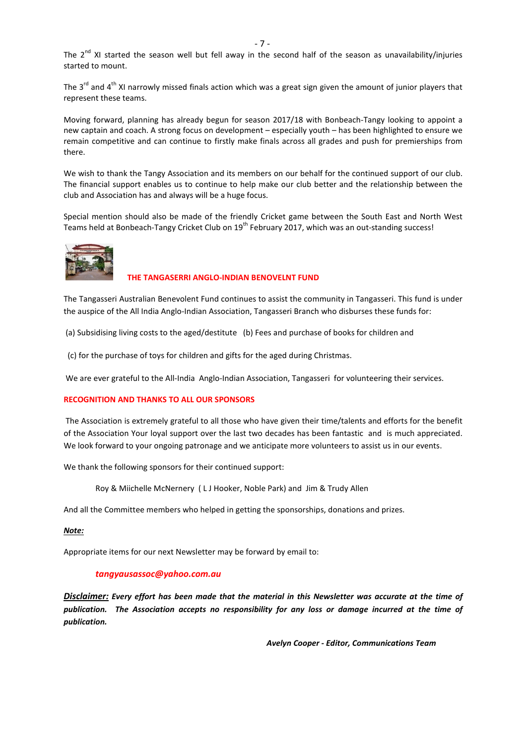The  $2^{nd}$  XI started the season well but fell away in the second half of the season as unavailability/injuries started to mount.

The  $3^{rd}$  and  $4^{th}$  XI narrowly missed finals action which was a great sign given the amount of junior players that represent these teams.

Moving forward, planning has already begun for season 2017/18 with Bonbeach-Tangy looking to appoint a new captain and coach. A strong focus on development – especially youth – has been highlighted to ensure we remain competitive and can continue to firstly make finals across all grades and push for premierships from there.

We wish to thank the Tangy Association and its members on our behalf for the continued support of our club. The financial support enables us to continue to help make our club better and the relationship between the club and Association has and always will be a huge focus.

Special mention should also be made of the friendly Cricket game between the South East and North West Teams held at Bonbeach-Tangy Cricket Club on 19<sup>th</sup> February 2017, which was an out-standing success!



#### **THE TANGASERRI ANGLO-INDIAN BENOVELNT FUND**

The Tangasseri Australian Benevolent Fund continues to assist the community in Tangasseri. This fund is under the auspice of the All India Anglo-Indian Association, Tangasseri Branch who disburses these funds for:

(a) Subsidising living costs to the aged/destitute (b) Fees and purchase of books for children and

(c) for the purchase of toys for children and gifts for the aged during Christmas.

We are ever grateful to the All-India Anglo-Indian Association, Tangasseri for volunteering their services.

#### **RECOGNITION AND THANKS TO ALL OUR SPONSORS**

 The Association is extremely grateful to all those who have given their time/talents and efforts for the benefit of the Association Your loyal support over the last two decades has been fantastic and is much appreciated. We look forward to your ongoing patronage and we anticipate more volunteers to assist us in our events.

We thank the following sponsors for their continued support:

Roy & Miichelle McNernery ( L J Hooker, Noble Park) and Jim & Trudy Allen

And all the Committee members who helped in getting the sponsorships, donations and prizes.

#### *Note:*

Appropriate items for our next Newsletter may be forward by email to:

#### *tangyausassoc@yahoo.com.au*

*Disclaimer: Every effort has been made that the material in this Newsletter was accurate at the time of publication. The Association accepts no responsibility for any loss or damage incurred at the time of publication.* 

 *Avelyn Cooper - Editor, Communications Team* 

 $-7$  -